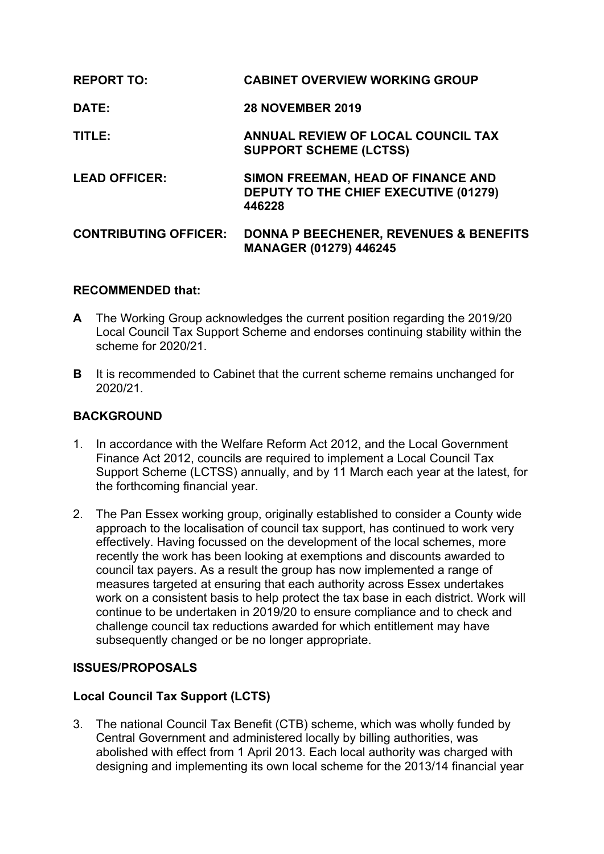| <b>REPORT TO:</b>            | <b>CABINET OVERVIEW WORKING GROUP</b>                                                        |
|------------------------------|----------------------------------------------------------------------------------------------|
| DATE:                        | <b>28 NOVEMBER 2019</b>                                                                      |
| TITLE:                       | ANNUAL REVIEW OF LOCAL COUNCIL TAX<br><b>SUPPORT SCHEME (LCTSS)</b>                          |
| <b>LEAD OFFICER:</b>         | SIMON FREEMAN, HEAD OF FINANCE AND<br><b>DEPUTY TO THE CHIEF EXECUTIVE (01279)</b><br>446228 |
| <b>CONTRIBUTING OFFICER:</b> | <b>DONNA P BEECHENER, REVENUES &amp; BENEFITS</b><br><b>MANAGER (01279) 446245</b>           |

### **RECOMMENDED that:**

- **A** The Working Group acknowledges the current position regarding the 2019/20 Local Council Tax Support Scheme and endorses continuing stability within the scheme for 2020/21.
- **B** It is recommended to Cabinet that the current scheme remains unchanged for 2020/21.

## **BACKGROUND**

- 1. In accordance with the Welfare Reform Act 2012, and the Local Government Finance Act 2012, councils are required to implement a Local Council Tax Support Scheme (LCTSS) annually, and by 11 March each year at the latest, for the forthcoming financial year.
- 2. The Pan Essex working group, originally established to consider a County wide approach to the localisation of council tax support, has continued to work very effectively. Having focussed on the development of the local schemes, more recently the work has been looking at exemptions and discounts awarded to council tax payers. As a result the group has now implemented a range of measures targeted at ensuring that each authority across Essex undertakes work on a consistent basis to help protect the tax base in each district. Work will continue to be undertaken in 2019/20 to ensure compliance and to check and challenge council tax reductions awarded for which entitlement may have subsequently changed or be no longer appropriate.

## **ISSUES/PROPOSALS**

## **Local Council Tax Support (LCTS)**

3. The national Council Tax Benefit (CTB) scheme, which was wholly funded by Central Government and administered locally by billing authorities, was abolished with effect from 1 April 2013. Each local authority was charged with designing and implementing its own local scheme for the 2013/14 financial year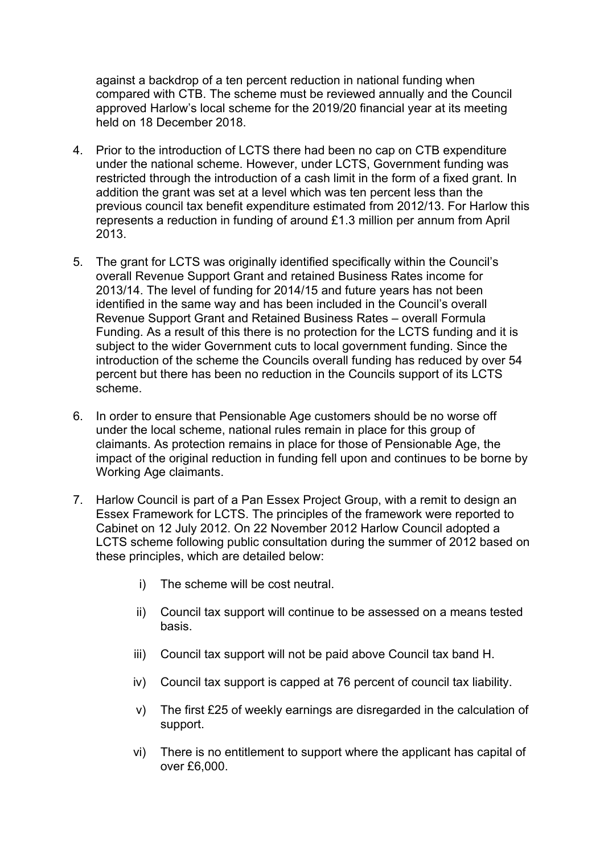against a backdrop of a ten percent reduction in national funding when compared with CTB. The scheme must be reviewed annually and the Council approved Harlow's local scheme for the 2019/20 financial year at its meeting held on 18 December 2018.

- 4. Prior to the introduction of LCTS there had been no cap on CTB expenditure under the national scheme. However, under LCTS, Government funding was restricted through the introduction of a cash limit in the form of a fixed grant. In addition the grant was set at a level which was ten percent less than the previous council tax benefit expenditure estimated from 2012/13. For Harlow this represents a reduction in funding of around £1.3 million per annum from April 2013.
- 5. The grant for LCTS was originally identified specifically within the Council's overall Revenue Support Grant and retained Business Rates income for 2013/14. The level of funding for 2014/15 and future years has not been identified in the same way and has been included in the Council's overall Revenue Support Grant and Retained Business Rates – overall Formula Funding. As a result of this there is no protection for the LCTS funding and it is subject to the wider Government cuts to local government funding. Since the introduction of the scheme the Councils overall funding has reduced by over 54 percent but there has been no reduction in the Councils support of its LCTS scheme.
- 6. In order to ensure that Pensionable Age customers should be no worse off under the local scheme, national rules remain in place for this group of claimants. As protection remains in place for those of Pensionable Age, the impact of the original reduction in funding fell upon and continues to be borne by Working Age claimants.
- 7. Harlow Council is part of a Pan Essex Project Group, with a remit to design an Essex Framework for LCTS. The principles of the framework were reported to Cabinet on 12 July 2012. On 22 November 2012 Harlow Council adopted a LCTS scheme following public consultation during the summer of 2012 based on these principles, which are detailed below:
	- i) The scheme will be cost neutral.
	- ii) Council tax support will continue to be assessed on a means tested basis.
	- iii) Council tax support will not be paid above Council tax band H.
	- iv) Council tax support is capped at 76 percent of council tax liability.
	- v) The first £25 of weekly earnings are disregarded in the calculation of support.
	- vi) There is no entitlement to support where the applicant has capital of over £6,000.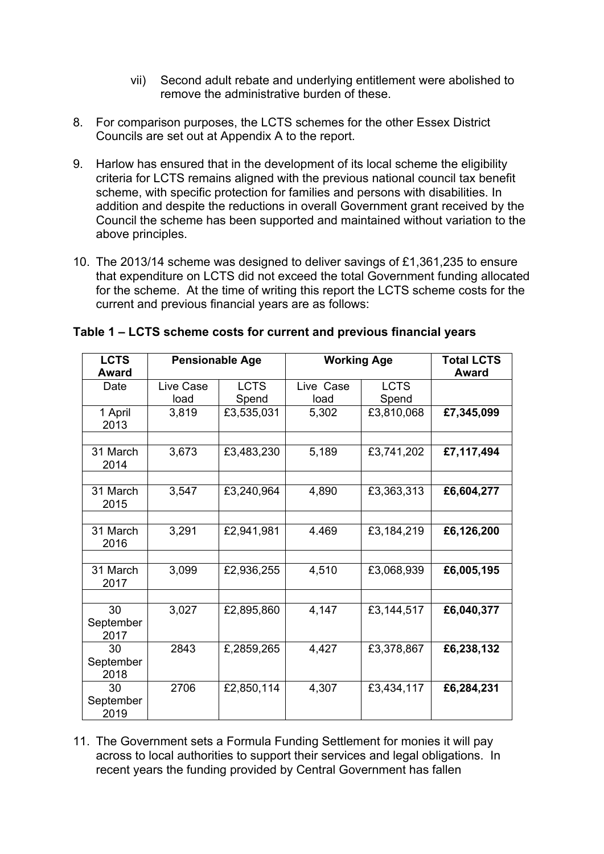- vii) Second adult rebate and underlying entitlement were abolished to remove the administrative burden of these.
- 8. For comparison purposes, the LCTS schemes for the other Essex District Councils are set out at Appendix A to the report.
- 9. Harlow has ensured that in the development of its local scheme the eligibility criteria for LCTS remains aligned with the previous national council tax benefit scheme, with specific protection for families and persons with disabilities. In addition and despite the reductions in overall Government grant received by the Council the scheme has been supported and maintained without variation to the above principles.
- 10. The 2013/14 scheme was designed to deliver savings of £1,361,235 to ensure that expenditure on LCTS did not exceed the total Government funding allocated for the scheme. At the time of writing this report the LCTS scheme costs for the current and previous financial years are as follows:

| <b>LCTS</b>             | <b>Pensionable Age</b> |             | <b>Working Age</b> |             | <b>Total LCTS</b> |
|-------------------------|------------------------|-------------|--------------------|-------------|-------------------|
| Award                   |                        |             |                    |             | <b>Award</b>      |
| Date                    | Live Case              | <b>LCTS</b> | Live Case          | <b>LCTS</b> |                   |
|                         | load                   | Spend       | load               | Spend       |                   |
| 1 April<br>2013         | 3,819                  | £3,535,031  | 5,302              | £3,810,068  | £7,345,099        |
| 31 March<br>2014        | 3,673                  | £3,483,230  | 5,189              | £3,741,202  | £7,117,494        |
| 31 March<br>2015        | 3,547                  | £3,240,964  | 4,890              | £3,363,313  | £6,604,277        |
| 31 March<br>2016        | 3,291                  | £2,941,981  | 4.469              | £3,184,219  | £6,126,200        |
| 31 March<br>2017        | 3,099                  | £2,936,255  | 4,510              | £3,068,939  | £6,005,195        |
| 30<br>September<br>2017 | 3,027                  | £2,895,860  | 4,147              | £3,144,517  | £6,040,377        |
| 30<br>September<br>2018 | 2843                   | £,2859,265  | 4,427              | £3,378,867  | £6,238,132        |
| 30<br>September<br>2019 | 2706                   | £2,850,114  | 4,307              | £3,434,117  | £6,284,231        |

### **Table 1 – LCTS scheme costs for current and previous financial years**

11. The Government sets a Formula Funding Settlement for monies it will pay across to local authorities to support their services and legal obligations. In recent years the funding provided by Central Government has fallen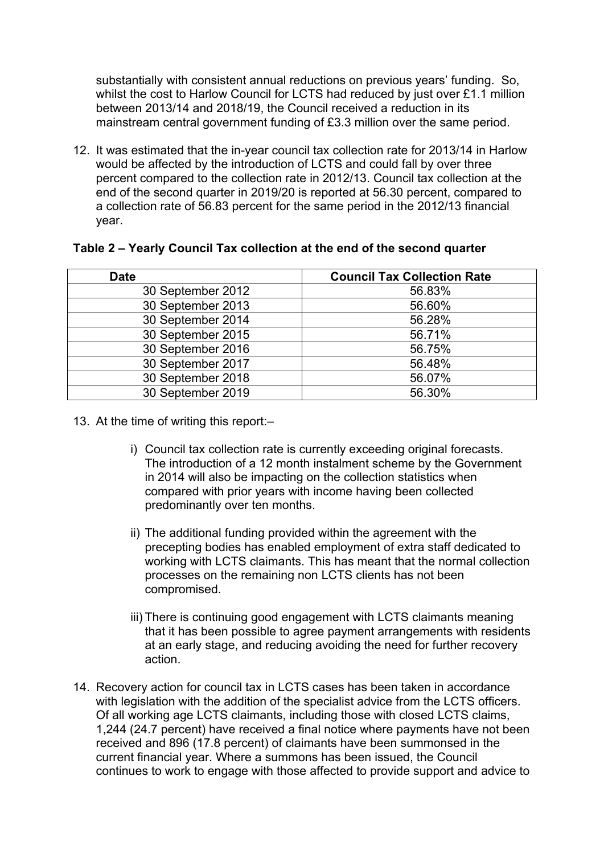substantially with consistent annual reductions on previous years' funding. So, whilst the cost to Harlow Council for LCTS had reduced by just over £1.1 million between 2013/14 and 2018/19, the Council received a reduction in its mainstream central government funding of £3.3 million over the same period.

12. It was estimated that the in-year council tax collection rate for 2013/14 in Harlow would be affected by the introduction of LCTS and could fall by over three percent compared to the collection rate in 2012/13. Council tax collection at the end of the second quarter in 2019/20 is reported at 56.30 percent, compared to a collection rate of 56.83 percent for the same period in the 2012/13 financial year.

| <b>Date</b>       | <b>Council Tax Collection Rate</b> |
|-------------------|------------------------------------|
| 30 September 2012 | 56.83%                             |
| 30 September 2013 | 56.60%                             |
| 30 September 2014 | 56.28%                             |
| 30 September 2015 | 56.71%                             |
| 30 September 2016 | 56.75%                             |
| 30 September 2017 | 56.48%                             |
| 30 September 2018 | 56.07%                             |
| 30 September 2019 | 56.30%                             |

#### **Table 2 – Yearly Council Tax collection at the end of the second quarter**

- 13. At the time of writing this report:–
	- i) Council tax collection rate is currently exceeding original forecasts. The introduction of a 12 month instalment scheme by the Government in 2014 will also be impacting on the collection statistics when compared with prior years with income having been collected predominantly over ten months.
	- ii) The additional funding provided within the agreement with the precepting bodies has enabled employment of extra staff dedicated to working with LCTS claimants. This has meant that the normal collection processes on the remaining non LCTS clients has not been compromised.
	- iii) There is continuing good engagement with LCTS claimants meaning that it has been possible to agree payment arrangements with residents at an early stage, and reducing avoiding the need for further recovery action.
- 14. Recovery action for council tax in LCTS cases has been taken in accordance with legislation with the addition of the specialist advice from the LCTS officers. Of all working age LCTS claimants, including those with closed LCTS claims, 1,244 (24.7 percent) have received a final notice where payments have not been received and 896 (17.8 percent) of claimants have been summonsed in the current financial year. Where a summons has been issued, the Council continues to work to engage with those affected to provide support and advice to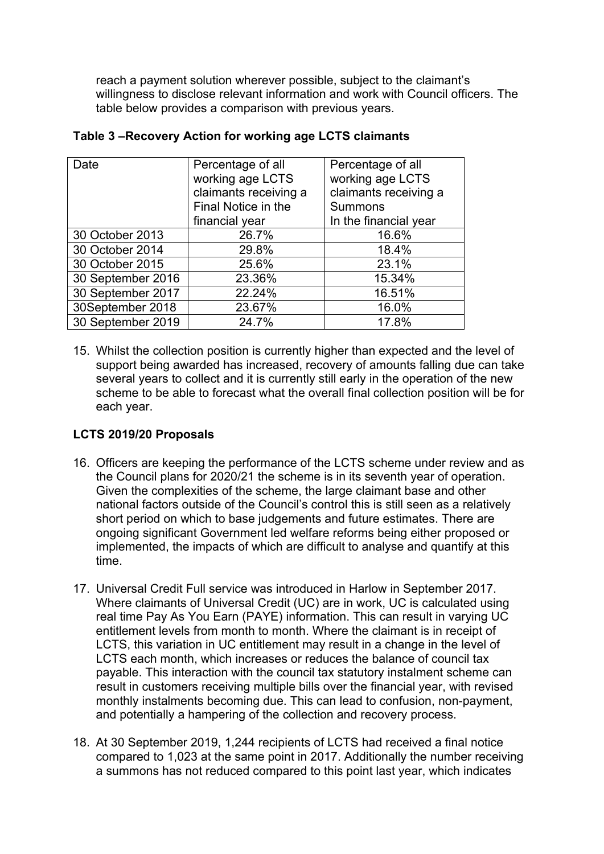reach a payment solution wherever possible, subject to the claimant's willingness to disclose relevant information and work with Council officers. The table below provides a comparison with previous years.

| Date              | Percentage of all     | Percentage of all     |  |
|-------------------|-----------------------|-----------------------|--|
|                   | working age LCTS      | working age LCTS      |  |
|                   | claimants receiving a | claimants receiving a |  |
|                   | Final Notice in the   | <b>Summons</b>        |  |
|                   | financial year        | In the financial year |  |
| 30 October 2013   | 26.7%                 | 16.6%                 |  |
| 30 October 2014   | 29.8%                 | 18.4%                 |  |
| 30 October 2015   | 25.6%                 | 23.1%                 |  |
| 30 September 2016 | 23.36%                | 15.34%                |  |
| 30 September 2017 | 22.24%                | 16.51%                |  |
| 30September 2018  | 23.67%                | 16.0%                 |  |
| 30 September 2019 | 24.7%                 | 17.8%                 |  |

### **Table 3 –Recovery Action for working age LCTS claimants**

15. Whilst the collection position is currently higher than expected and the level of support being awarded has increased, recovery of amounts falling due can take several years to collect and it is currently still early in the operation of the new scheme to be able to forecast what the overall final collection position will be for each year.

# **LCTS 2019/20 Proposals**

- 16. Officers are keeping the performance of the LCTS scheme under review and as the Council plans for 2020/21 the scheme is in its seventh year of operation. Given the complexities of the scheme, the large claimant base and other national factors outside of the Council's control this is still seen as a relatively short period on which to base judgements and future estimates. There are ongoing significant Government led welfare reforms being either proposed or implemented, the impacts of which are difficult to analyse and quantify at this time.
- 17. Universal Credit Full service was introduced in Harlow in September 2017. Where claimants of Universal Credit (UC) are in work, UC is calculated using real time Pay As You Earn (PAYE) information. This can result in varying UC entitlement levels from month to month. Where the claimant is in receipt of LCTS, this variation in UC entitlement may result in a change in the level of LCTS each month, which increases or reduces the balance of council tax payable. This interaction with the council tax statutory instalment scheme can result in customers receiving multiple bills over the financial year, with revised monthly instalments becoming due. This can lead to confusion, non-payment, and potentially a hampering of the collection and recovery process.
- 18. At 30 September 2019, 1,244 recipients of LCTS had received a final notice compared to 1,023 at the same point in 2017. Additionally the number receiving a summons has not reduced compared to this point last year, which indicates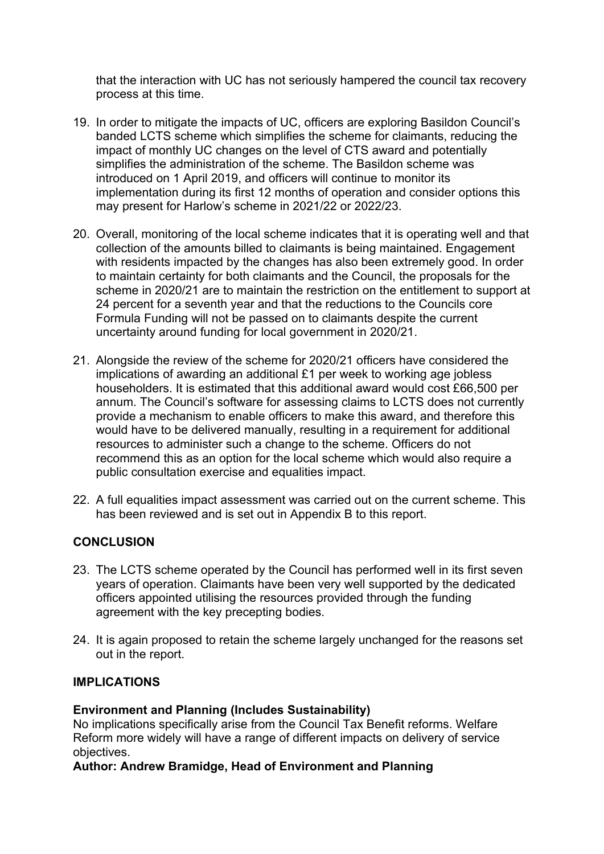that the interaction with UC has not seriously hampered the council tax recovery process at this time.

- 19. In order to mitigate the impacts of UC, officers are exploring Basildon Council's banded LCTS scheme which simplifies the scheme for claimants, reducing the impact of monthly UC changes on the level of CTS award and potentially simplifies the administration of the scheme. The Basildon scheme was introduced on 1 April 2019, and officers will continue to monitor its implementation during its first 12 months of operation and consider options this may present for Harlow's scheme in 2021/22 or 2022/23.
- 20. Overall, monitoring of the local scheme indicates that it is operating well and that collection of the amounts billed to claimants is being maintained. Engagement with residents impacted by the changes has also been extremely good. In order to maintain certainty for both claimants and the Council, the proposals for the scheme in 2020/21 are to maintain the restriction on the entitlement to support at 24 percent for a seventh year and that the reductions to the Councils core Formula Funding will not be passed on to claimants despite the current uncertainty around funding for local government in 2020/21.
- 21. Alongside the review of the scheme for 2020/21 officers have considered the implications of awarding an additional £1 per week to working age jobless householders. It is estimated that this additional award would cost £66,500 per annum. The Council's software for assessing claims to LCTS does not currently provide a mechanism to enable officers to make this award, and therefore this would have to be delivered manually, resulting in a requirement for additional resources to administer such a change to the scheme. Officers do not recommend this as an option for the local scheme which would also require a public consultation exercise and equalities impact.
- 22. A full equalities impact assessment was carried out on the current scheme. This has been reviewed and is set out in Appendix B to this report.

## **CONCLUSION**

- 23. The LCTS scheme operated by the Council has performed well in its first seven years of operation. Claimants have been very well supported by the dedicated officers appointed utilising the resources provided through the funding agreement with the key precepting bodies.
- 24. It is again proposed to retain the scheme largely unchanged for the reasons set out in the report.

## **IMPLICATIONS**

### **Environment and Planning (Includes Sustainability)**

No implications specifically arise from the Council Tax Benefit reforms. Welfare Reform more widely will have a range of different impacts on delivery of service objectives.

**Author: Andrew Bramidge, Head of Environment and Planning**